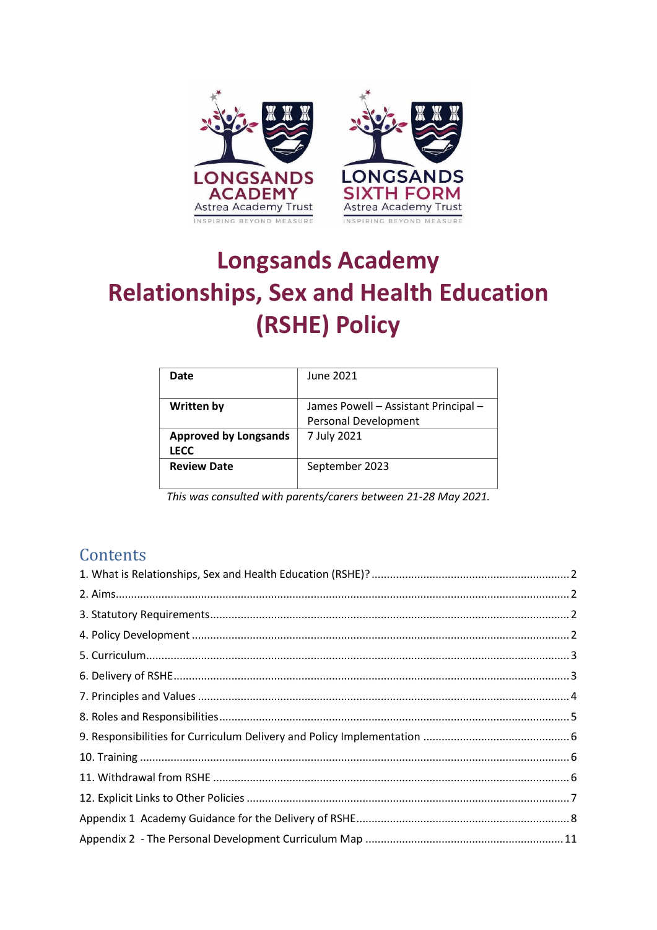

# **Longsands Academy Relationships, Sex and Health Education** (RSHE) Policy

| Date                         | June 2021                            |
|------------------------------|--------------------------------------|
| <b>Written by</b>            | James Powell - Assistant Principal - |
|                              | <b>Personal Development</b>          |
| <b>Approved by Longsands</b> | 7 July 2021                          |
| <b>LECC</b>                  |                                      |
| <b>Review Date</b>           | September 2023                       |
|                              |                                      |

This was consulted with parents/carers between 21-28 May 2021.

# Contents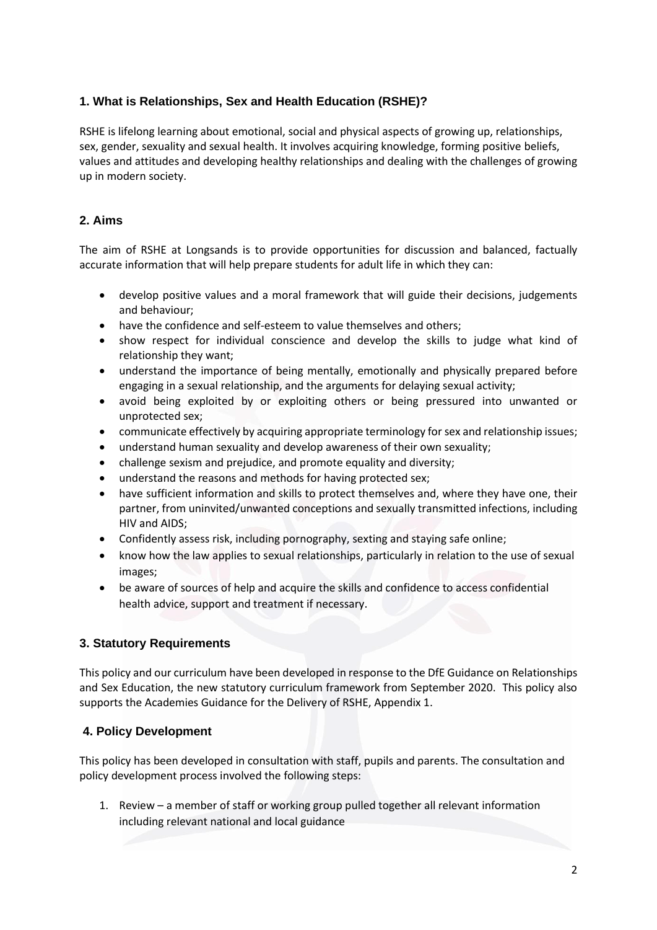# <span id="page-1-0"></span>**1. What is Relationships, Sex and Health Education (RSHE)?**

RSHE is lifelong learning about emotional, social and physical aspects of growing up, relationships, sex, gender, sexuality and sexual health. It involves acquiring knowledge, forming positive beliefs, values and attitudes and developing healthy relationships and dealing with the challenges of growing up in modern society.

# <span id="page-1-1"></span>**2. Aims**

The aim of RSHE at Longsands is to provide opportunities for discussion and balanced, factually accurate information that will help prepare students for adult life in which they can:

- develop positive values and a moral framework that will guide their decisions, judgements and behaviour;
- have the confidence and self-esteem to value themselves and others;
- show respect for individual conscience and develop the skills to judge what kind of relationship they want;
- understand the importance of being mentally, emotionally and physically prepared before engaging in a sexual relationship, and the arguments for delaying sexual activity;
- avoid being exploited by or exploiting others or being pressured into unwanted or unprotected sex;
- communicate effectively by acquiring appropriate terminology for sex and relationship issues;
- understand human sexuality and develop awareness of their own sexuality;
- challenge sexism and prejudice, and promote equality and diversity;
- understand the reasons and methods for having protected sex;
- have sufficient information and skills to protect themselves and, where they have one, their partner, from uninvited/unwanted conceptions and sexually transmitted infections, including HIV and AIDS;
- Confidently assess risk, including pornography, sexting and staying safe online;
- know how the law applies to sexual relationships, particularly in relation to the use of sexual images;
- be aware of sources of help and acquire the skills and confidence to access confidential health advice, support and treatment if necessary.

# <span id="page-1-2"></span>**3. Statutory Requirements**

This policy and our curriculum have been developed in response to the DfE Guidance on Relationships and Sex Education, the new statutory curriculum framework from September 2020. This policy also supports the Academies Guidance for the Delivery of RSHE, Appendix 1.

# <span id="page-1-3"></span>**4. Policy Development**

This policy has been developed in consultation with staff, pupils and parents. The consultation and policy development process involved the following steps:

1. Review – a member of staff or working group pulled together all relevant information including relevant national and local guidance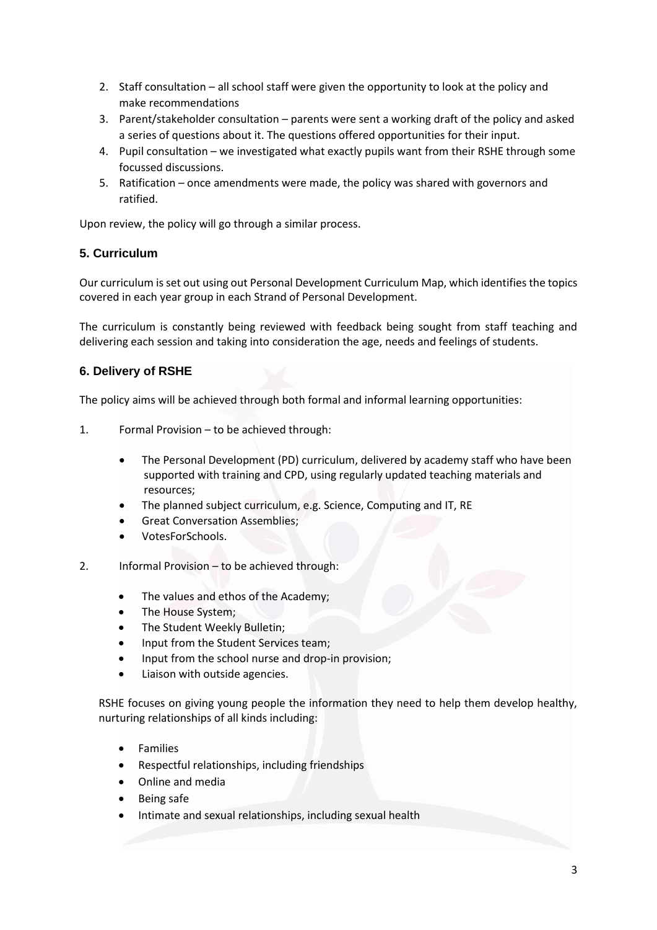- 2. Staff consultation all school staff were given the opportunity to look at the policy and make recommendations
- 3. Parent/stakeholder consultation parents were sent a working draft of the policy and asked a series of questions about it. The questions offered opportunities for their input.
- 4. Pupil consultation we investigated what exactly pupils want from their RSHE through some focussed discussions.
- 5. Ratification once amendments were made, the policy was shared with governors and ratified.

Upon review, the policy will go through a similar process.

## <span id="page-2-0"></span>**5. Curriculum**

Our curriculum is set out using out Personal Development Curriculum Map, which identifies the topics covered in each year group in each Strand of Personal Development.

The curriculum is constantly being reviewed with feedback being sought from staff teaching and delivering each session and taking into consideration the age, needs and feelings of students.

## <span id="page-2-1"></span>**6. Delivery of RSHE**

The policy aims will be achieved through both formal and informal learning opportunities:

- 1. Formal Provision to be achieved through:
	- The Personal Development (PD) curriculum, delivered by academy staff who have been supported with training and CPD, using regularly updated teaching materials and resources;
	- The planned subject curriculum, e.g. Science, Computing and IT, RE
	- Great Conversation Assemblies;
	- VotesForSchools.
- 2. Informal Provision to be achieved through:
	- The values and ethos of the Academy;
	- The House System;
	- The Student Weekly Bulletin;
	- Input from the Student Services team;
	- Input from the school nurse and drop-in provision;
	- Liaison with outside agencies.

RSHE focuses on giving young people the information they need to help them develop healthy, nurturing relationships of all kinds including:

- Families
- Respectful relationships, including friendships
- Online and media
- Being safe
- Intimate and sexual relationships, including sexual health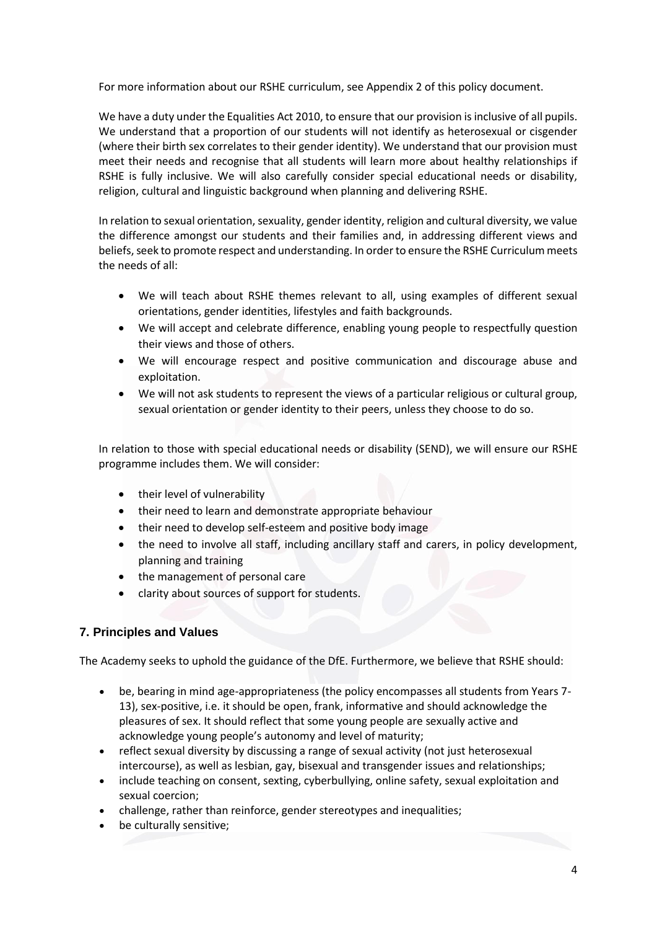For more information about our RSHE curriculum, see Appendix 2 of this policy document.

We have a duty under the Equalities Act 2010, to ensure that our provision is inclusive of all pupils. We understand that a proportion of our students will not identify as heterosexual or cisgender (where their birth sex correlates to their gender identity). We understand that our provision must meet their needs and recognise that all students will learn more about healthy relationships if RSHE is fully inclusive. We will also carefully consider special educational needs or disability, religion, cultural and linguistic background when planning and delivering RSHE.

In relation to sexual orientation, sexuality, gender identity, religion and cultural diversity, we value the difference amongst our students and their families and, in addressing different views and beliefs, seek to promote respect and understanding. In order to ensure the RSHE Curriculum meets the needs of all:

- We will teach about RSHE themes relevant to all, using examples of different sexual orientations, gender identities, lifestyles and faith backgrounds.
- We will accept and celebrate difference, enabling young people to respectfully question their views and those of others.
- We will encourage respect and positive communication and discourage abuse and exploitation.
- We will not ask students to represent the views of a particular religious or cultural group, sexual orientation or gender identity to their peers, unless they choose to do so.

In relation to those with special educational needs or disability (SEND), we will ensure our RSHE programme includes them. We will consider:

- their level of vulnerability
- their need to learn and demonstrate appropriate behaviour
- their need to develop self-esteem and positive body image
- the need to involve all staff, including ancillary staff and carers, in policy development, planning and training
- the management of personal care
- clarity about sources of support for students.

#### <span id="page-3-0"></span>**7. Principles and Values**

The Academy seeks to uphold the guidance of the DfE. Furthermore, we believe that RSHE should:

- be, bearing in mind age-appropriateness (the policy encompasses all students from Years 7- 13), sex-positive, i.e. it should be open, frank, informative and should acknowledge the pleasures of sex. It should reflect that some young people are sexually active and acknowledge young people's autonomy and level of maturity;
- reflect sexual diversity by discussing a range of sexual activity (not just heterosexual intercourse), as well as lesbian, gay, bisexual and transgender issues and relationships;
- include teaching on consent, sexting, cyberbullying, online safety, sexual exploitation and sexual coercion;
- challenge, rather than reinforce, gender stereotypes and inequalities;
- be culturally sensitive;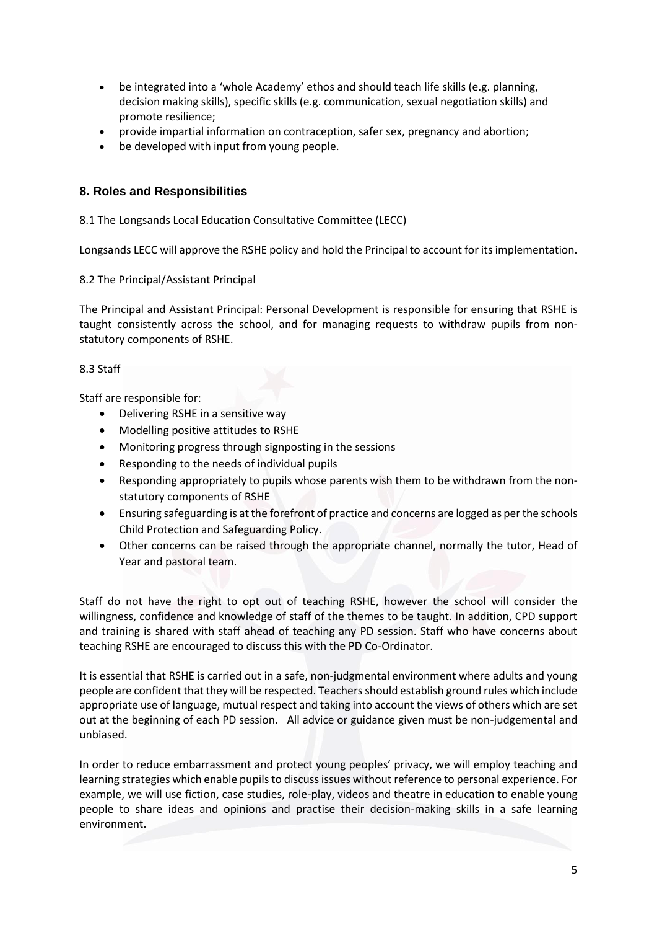- be integrated into a 'whole Academy' ethos and should teach life skills (e.g. planning, decision making skills), specific skills (e.g. communication, sexual negotiation skills) and promote resilience;
- provide impartial information on contraception, safer sex, pregnancy and abortion;
- be developed with input from young people.

#### <span id="page-4-0"></span>**8. Roles and Responsibilities**

8.1 The Longsands Local Education Consultative Committee (LECC)

Longsands LECC will approve the RSHE policy and hold the Principal to account for its implementation.

#### 8.2 The Principal/Assistant Principal

The Principal and Assistant Principal: Personal Development is responsible for ensuring that RSHE is taught consistently across the school, and for managing requests to withdraw pupils from nonstatutory components of RSHE.

#### 8.3 Staff

Staff are responsible for:

- Delivering RSHE in a sensitive way
- Modelling positive attitudes to RSHE
- Monitoring progress through signposting in the sessions
- Responding to the needs of individual pupils
- Responding appropriately to pupils whose parents wish them to be withdrawn from the nonstatutory components of RSHE
- Ensuring safeguarding is at the forefront of practice and concerns are logged as per the schools Child Protection and Safeguarding Policy.
- Other concerns can be raised through the appropriate channel, normally the tutor, Head of Year and pastoral team.

Staff do not have the right to opt out of teaching RSHE, however the school will consider the willingness, confidence and knowledge of staff of the themes to be taught. In addition, CPD support and training is shared with staff ahead of teaching any PD session. Staff who have concerns about teaching RSHE are encouraged to discuss this with the PD Co-Ordinator.

It is essential that RSHE is carried out in a safe, non-judgmental environment where adults and young people are confident that they will be respected. Teachers should establish ground rules which include appropriate use of language, mutual respect and taking into account the views of others which are set out at the beginning of each PD session. All advice or guidance given must be non-judgemental and unbiased.

In order to reduce embarrassment and protect young peoples' privacy, we will employ teaching and learning strategies which enable pupils to discuss issues without reference to personal experience. For example, we will use fiction, case studies, role-play, videos and theatre in education to enable young people to share ideas and opinions and practise their decision-making skills in a safe learning environment.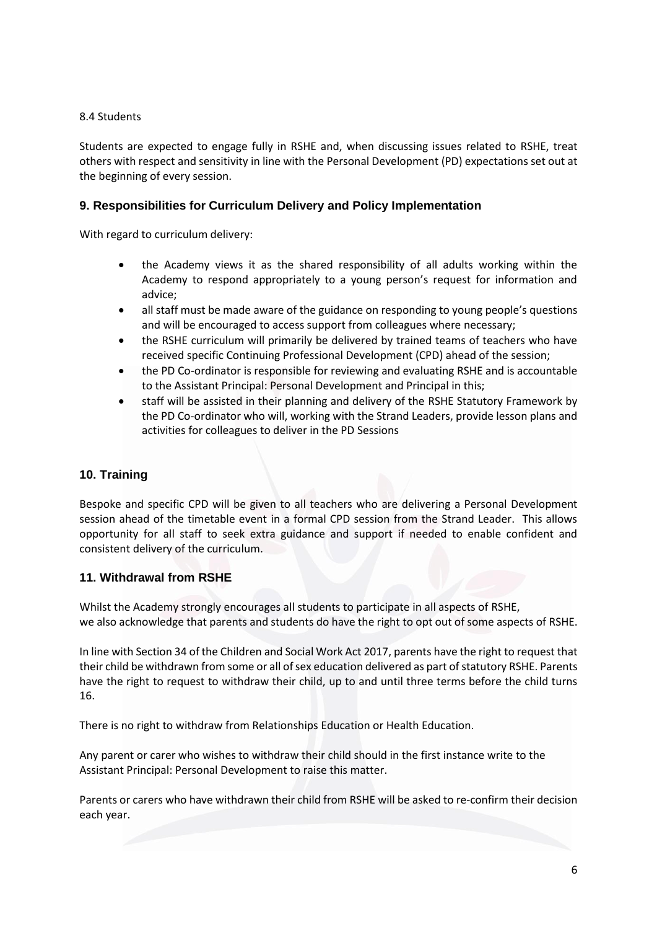#### 8.4 Students

Students are expected to engage fully in RSHE and, when discussing issues related to RSHE, treat others with respect and sensitivity in line with the Personal Development (PD) expectations set out at the beginning of every session.

## <span id="page-5-0"></span>**9. Responsibilities for Curriculum Delivery and Policy Implementation**

With regard to curriculum delivery:

- the Academy views it as the shared responsibility of all adults working within the Academy to respond appropriately to a young person's request for information and advice;
- all staff must be made aware of the guidance on responding to young people's questions and will be encouraged to access support from colleagues where necessary;
- the RSHE curriculum will primarily be delivered by trained teams of teachers who have received specific Continuing Professional Development (CPD) ahead of the session;
- the PD Co-ordinator is responsible for reviewing and evaluating RSHE and is accountable to the Assistant Principal: Personal Development and Principal in this;
- staff will be assisted in their planning and delivery of the RSHE Statutory Framework by the PD Co-ordinator who will, working with the Strand Leaders, provide lesson plans and activities for colleagues to deliver in the PD Sessions

#### <span id="page-5-1"></span>**10. Training**

Bespoke and specific CPD will be given to all teachers who are delivering a Personal Development session ahead of the timetable event in a formal CPD session from the Strand Leader. This allows opportunity for all staff to seek extra guidance and support if needed to enable confident and consistent delivery of the curriculum.

#### <span id="page-5-2"></span>**11. Withdrawal from RSHE**

Whilst the Academy strongly encourages all students to participate in all aspects of RSHE, we also acknowledge that parents and students do have the right to opt out of some aspects of RSHE.

In line with Section 34 of the Children and Social Work Act 2017, parents have the right to request that their child be withdrawn from some or all of sex education delivered as part of statutory RSHE. Parents have the right to request to withdraw their child, up to and until three terms before the child turns 16.

There is no right to withdraw from Relationships Education or Health Education.

Any parent or carer who wishes to withdraw their child should in the first instance write to the Assistant Principal: Personal Development to raise this matter.

Parents or carers who have withdrawn their child from RSHE will be asked to re-confirm their decision each year.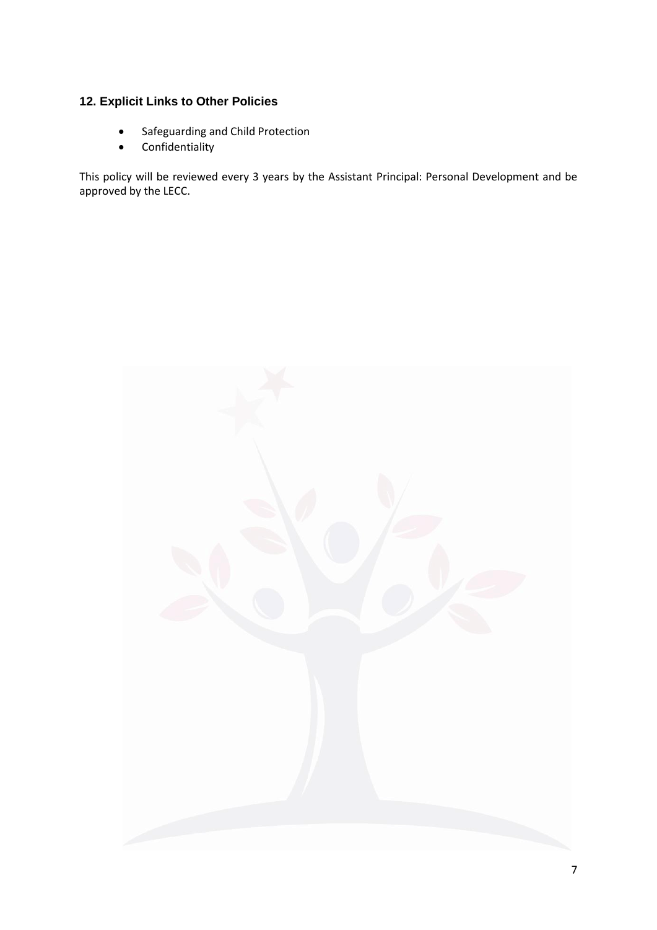# <span id="page-6-0"></span>**12. Explicit Links to Other Policies**

- Safeguarding and Child Protection
- **Confidentiality**

This policy will be reviewed every 3 years by the Assistant Principal: Personal Development and be approved by the LECC.

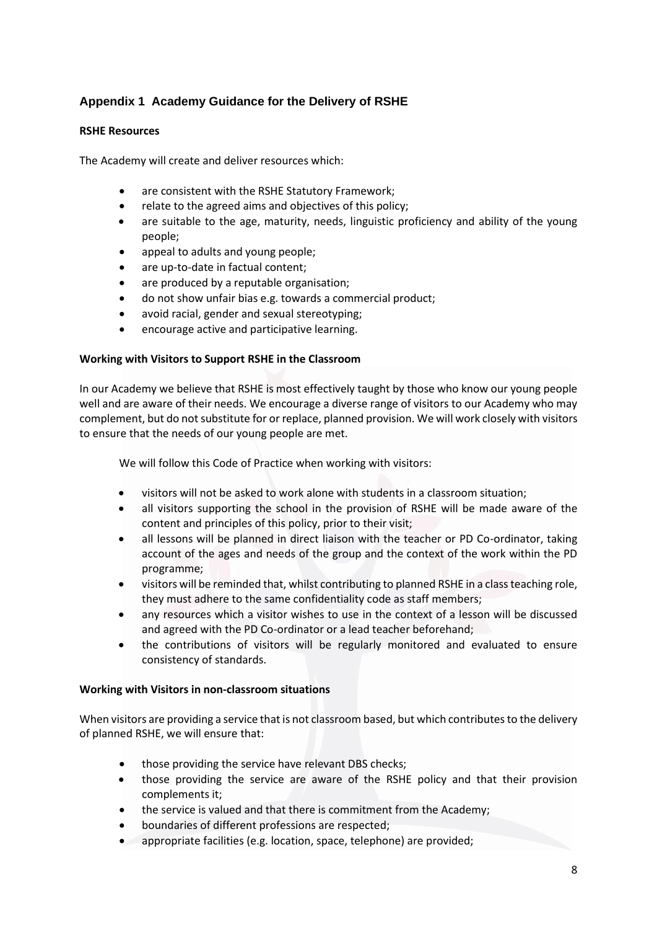# <span id="page-7-0"></span>**Appendix 1 Academy Guidance for the Delivery of RSHE**

#### **RSHE Resources**

The Academy will create and deliver resources which:

- are consistent with the RSHE Statutory Framework;
- relate to the agreed aims and objectives of this policy;
- are suitable to the age, maturity, needs, linguistic proficiency and ability of the young people;
- appeal to adults and young people;
- are up-to-date in factual content;
- are produced by a reputable organisation;
- do not show unfair bias e.g. towards a commercial product;
- avoid racial, gender and sexual stereotyping;
- encourage active and participative learning.

#### **Working with Visitors to Support RSHE in the Classroom**

In our Academy we believe that RSHE is most effectively taught by those who know our young people well and are aware of their needs. We encourage a diverse range of visitors to our Academy who may complement, but do not substitute for or replace, planned provision. We will work closely with visitors to ensure that the needs of our young people are met.

We will follow this Code of Practice when working with visitors:

- visitors will not be asked to work alone with students in a classroom situation;
- all visitors supporting the school in the provision of RSHE will be made aware of the content and principles of this policy, prior to their visit;
- all lessons will be planned in direct liaison with the teacher or PD Co-ordinator, taking account of the ages and needs of the group and the context of the work within the PD programme;
- visitors will be reminded that, whilst contributing to planned RSHE in a class teaching role, they must adhere to the same confidentiality code as staff members;
- any resources which a visitor wishes to use in the context of a lesson will be discussed and agreed with the PD Co-ordinator or a lead teacher beforehand;
- the contributions of visitors will be regularly monitored and evaluated to ensure consistency of standards.

#### **Working with Visitors in non-classroom situations**

When visitors are providing a service that is not classroom based, but which contributes to the delivery of planned RSHE, we will ensure that:

- those providing the service have relevant DBS checks;
- those providing the service are aware of the RSHE policy and that their provision complements it;
- the service is valued and that there is commitment from the Academy;
- boundaries of different professions are respected;
- appropriate facilities (e.g. location, space, telephone) are provided;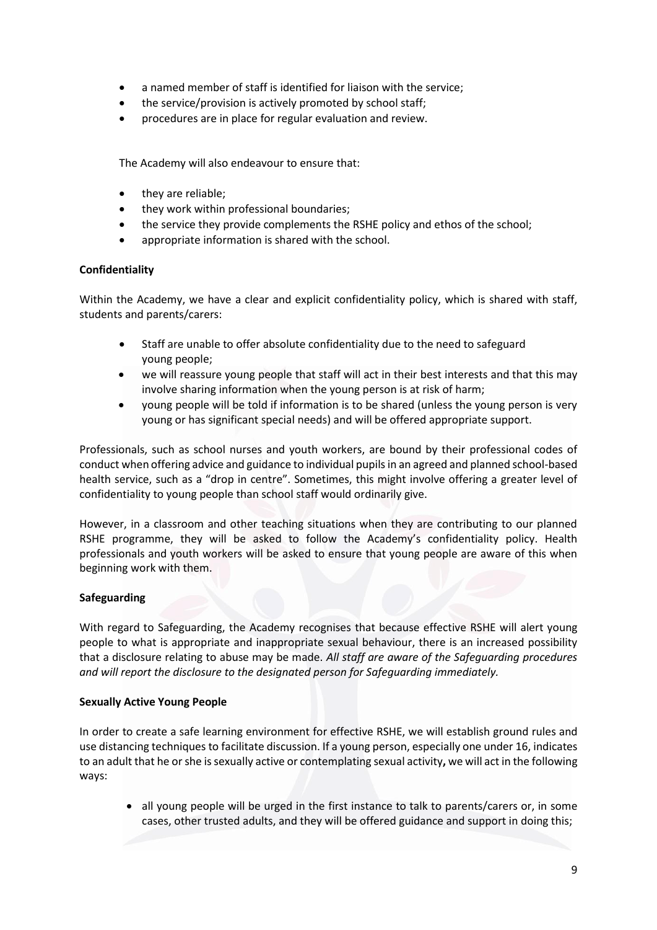- a named member of staff is identified for liaison with the service;
- the service/provision is actively promoted by school staff;
- procedures are in place for regular evaluation and review.

The Academy will also endeavour to ensure that:

- they are reliable;
- they work within professional boundaries;
- the service they provide complements the RSHE policy and ethos of the school;
- appropriate information is shared with the school.

#### **Confidentiality**

Within the Academy, we have a clear and explicit confidentiality policy, which is shared with staff, students and parents/carers:

- Staff are unable to offer absolute confidentiality due to the need to safeguard young people;
- we will reassure young people that staff will act in their best interests and that this may involve sharing information when the young person is at risk of harm;
- young people will be told if information is to be shared (unless the young person is very young or has significant special needs) and will be offered appropriate support.

Professionals, such as school nurses and youth workers, are bound by their professional codes of conduct when offering advice and guidance to individual pupils in an agreed and planned school-based health service, such as a "drop in centre". Sometimes, this might involve offering a greater level of confidentiality to young people than school staff would ordinarily give.

However, in a classroom and other teaching situations when they are contributing to our planned RSHE programme, they will be asked to follow the Academy's confidentiality policy. Health professionals and youth workers will be asked to ensure that young people are aware of this when beginning work with them.

#### **Safeguarding**

With regard to Safeguarding, the Academy recognises that because effective RSHE will alert young people to what is appropriate and inappropriate sexual behaviour, there is an increased possibility that a disclosure relating to abuse may be made. *All staff are aware of the Safeguarding procedures and will report the disclosure to the designated person for Safeguarding immediately.*

#### **Sexually Active Young People**

In order to create a safe learning environment for effective RSHE, we will establish ground rules and use distancing techniques to facilitate discussion. If a young person, especially one under 16, indicates to an adult that he or she is sexually active or contemplating sexual activity**,** we will act in the following ways:

• all young people will be urged in the first instance to talk to parents/carers or, in some cases, other trusted adults, and they will be offered guidance and support in doing this;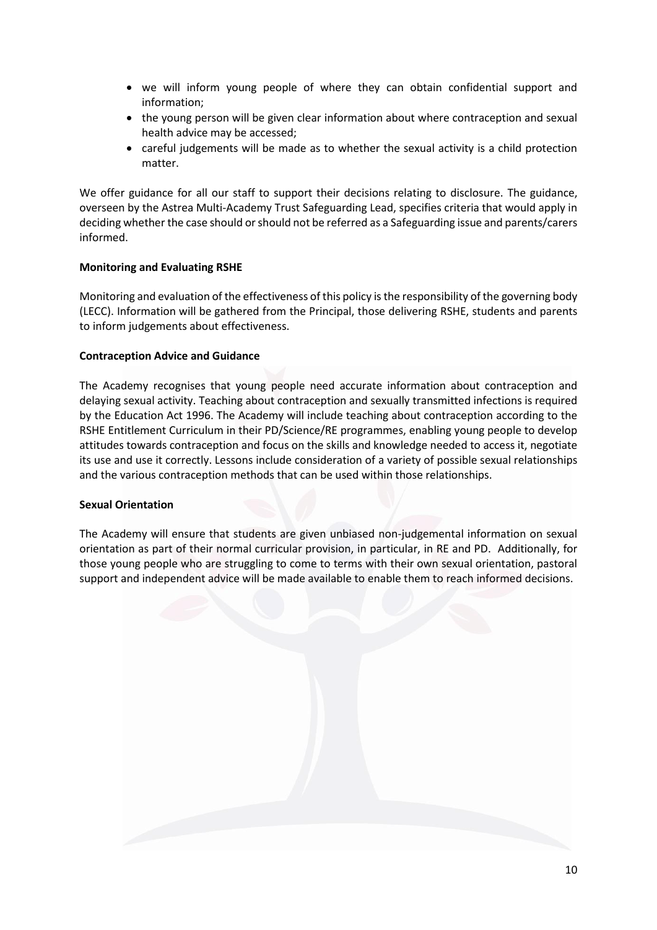- we will inform young people of where they can obtain confidential support and information;
- the young person will be given clear information about where contraception and sexual health advice may be accessed;
- careful judgements will be made as to whether the sexual activity is a child protection matter.

We offer guidance for all our staff to support their decisions relating to disclosure. The guidance, overseen by the Astrea Multi-Academy Trust Safeguarding Lead, specifies criteria that would apply in deciding whether the case should or should not be referred as a Safeguarding issue and parents/carers informed.

#### **Monitoring and Evaluating RSHE**

Monitoring and evaluation of the effectiveness of this policy is the responsibility of the governing body (LECC). Information will be gathered from the Principal, those delivering RSHE, students and parents to inform judgements about effectiveness.

#### **Contraception Advice and Guidance**

The Academy recognises that young people need accurate information about contraception and delaying sexual activity. Teaching about contraception and sexually transmitted infections is required by the Education Act 1996. The Academy will include teaching about contraception according to the RSHE Entitlement Curriculum in their PD/Science/RE programmes, enabling young people to develop attitudes towards contraception and focus on the skills and knowledge needed to access it, negotiate its use and use it correctly. Lessons include consideration of a variety of possible sexual relationships and the various contraception methods that can be used within those relationships.

#### **Sexual Orientation**

The Academy will ensure that students are given unbiased non-judgemental information on sexual orientation as part of their normal curricular provision, in particular, in RE and PD. Additionally, for those young people who are struggling to come to terms with their own sexual orientation, pastoral support and independent advice will be made available to enable them to reach informed decisions.

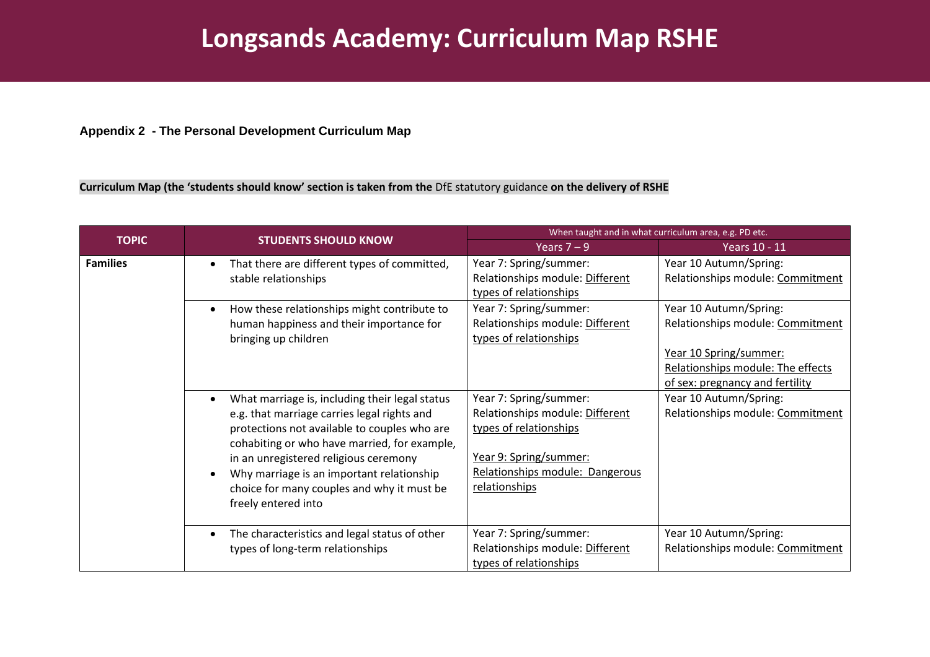# **Longsands Academy: Curriculum Map RSHE**

# **Appendix 2 - The Personal Development Curriculum Map**

**Curriculum Map (the 'students should know' section is taken from the** [DfE statutory guidance](https://assets.publishing.service.gov.uk/government/uploads/system/uploads/attachment_data/file/908013/Relationships_Education__Relationships_and_Sex_Education__RSE__and_Health_Education.pdf) **on the delivery of RSHE**

<span id="page-10-0"></span>

|                 |                                                | When taught and in what curriculum area, e.g. PD etc. |                                   |
|-----------------|------------------------------------------------|-------------------------------------------------------|-----------------------------------|
| <b>TOPIC</b>    | <b>STUDENTS SHOULD KNOW</b>                    | Years $7 - 9$                                         | Years 10 - 11                     |
| <b>Families</b> | That there are different types of committed,   | Year 7: Spring/summer:                                | Year 10 Autumn/Spring:            |
|                 | stable relationships                           | Relationships module: Different                       | Relationships module: Commitment  |
|                 |                                                | types of relationships                                |                                   |
|                 | How these relationships might contribute to    | Year 7: Spring/summer:                                | Year 10 Autumn/Spring:            |
|                 | human happiness and their importance for       | Relationships module: Different                       | Relationships module: Commitment  |
|                 | bringing up children                           | types of relationships                                |                                   |
|                 |                                                |                                                       | Year 10 Spring/summer:            |
|                 |                                                |                                                       | Relationships module: The effects |
|                 |                                                |                                                       | of sex: pregnancy and fertility   |
|                 | What marriage is, including their legal status | Year 7: Spring/summer:                                | Year 10 Autumn/Spring:            |
|                 | e.g. that marriage carries legal rights and    | Relationships module: Different                       | Relationships module: Commitment  |
|                 | protections not available to couples who are   | types of relationships                                |                                   |
|                 | cohabiting or who have married, for example,   |                                                       |                                   |
|                 | in an unregistered religious ceremony          | Year 9: Spring/summer:                                |                                   |
|                 | Why marriage is an important relationship      | Relationships module: Dangerous                       |                                   |
|                 | choice for many couples and why it must be     | relationships                                         |                                   |
|                 | freely entered into                            |                                                       |                                   |
|                 |                                                |                                                       |                                   |
|                 | The characteristics and legal status of other  | Year 7: Spring/summer:                                | Year 10 Autumn/Spring:            |
|                 | types of long-term relationships               | Relationships module: Different                       | Relationships module: Commitment  |
|                 |                                                | types of relationships                                |                                   |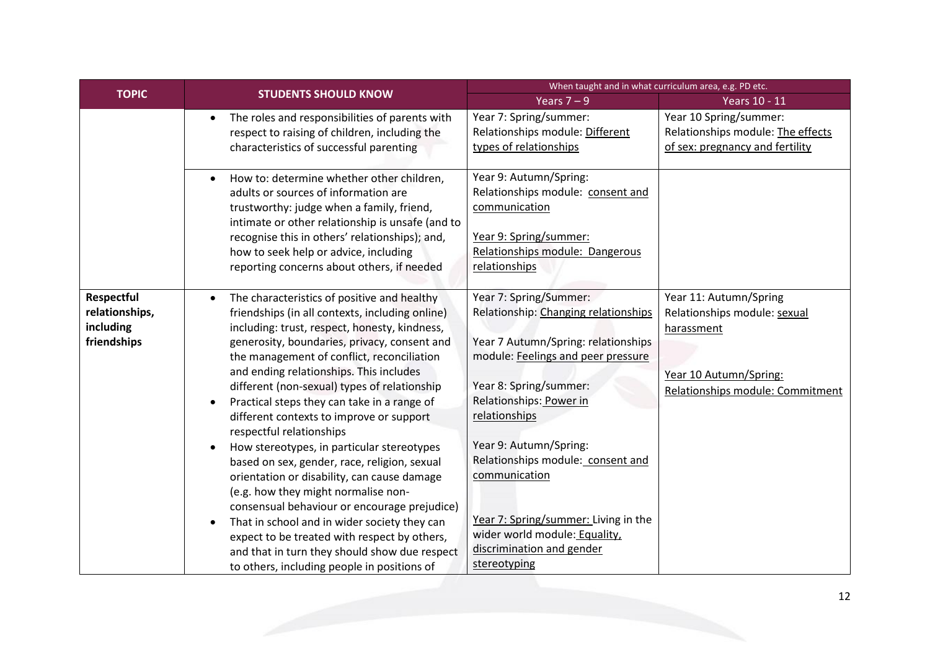| <b>TOPIC</b>                                             | <b>STUDENTS SHOULD KNOW</b>                                                                                                                                                                                                                                                                                                                                                                                                                                                                                                                                                                                                                                                                                                                                                                                                                                                                                                                | When taught and in what curriculum area, e.g. PD etc.                                                                                                                                                                                                                                                                                                                                                                   |                                                                                                                                    |
|----------------------------------------------------------|--------------------------------------------------------------------------------------------------------------------------------------------------------------------------------------------------------------------------------------------------------------------------------------------------------------------------------------------------------------------------------------------------------------------------------------------------------------------------------------------------------------------------------------------------------------------------------------------------------------------------------------------------------------------------------------------------------------------------------------------------------------------------------------------------------------------------------------------------------------------------------------------------------------------------------------------|-------------------------------------------------------------------------------------------------------------------------------------------------------------------------------------------------------------------------------------------------------------------------------------------------------------------------------------------------------------------------------------------------------------------------|------------------------------------------------------------------------------------------------------------------------------------|
|                                                          |                                                                                                                                                                                                                                                                                                                                                                                                                                                                                                                                                                                                                                                                                                                                                                                                                                                                                                                                            | Years $7 - 9$                                                                                                                                                                                                                                                                                                                                                                                                           | <b>Years 10 - 11</b>                                                                                                               |
|                                                          | The roles and responsibilities of parents with<br>$\bullet$<br>respect to raising of children, including the<br>characteristics of successful parenting                                                                                                                                                                                                                                                                                                                                                                                                                                                                                                                                                                                                                                                                                                                                                                                    | Year 7: Spring/summer:<br>Relationships module: Different<br>types of relationships                                                                                                                                                                                                                                                                                                                                     | Year 10 Spring/summer:<br>Relationships module: The effects<br>of sex: pregnancy and fertility                                     |
|                                                          | How to: determine whether other children,<br>$\bullet$<br>adults or sources of information are<br>trustworthy: judge when a family, friend,<br>intimate or other relationship is unsafe (and to<br>recognise this in others' relationships); and,<br>how to seek help or advice, including<br>reporting concerns about others, if needed                                                                                                                                                                                                                                                                                                                                                                                                                                                                                                                                                                                                   | Year 9: Autumn/Spring:<br>Relationships module: consent and<br>communication<br>Year 9: Spring/summer:<br>Relationships module: Dangerous<br>relationships                                                                                                                                                                                                                                                              |                                                                                                                                    |
| Respectful<br>relationships,<br>including<br>friendships | The characteristics of positive and healthy<br>$\bullet$<br>friendships (in all contexts, including online)<br>including: trust, respect, honesty, kindness,<br>generosity, boundaries, privacy, consent and<br>the management of conflict, reconciliation<br>and ending relationships. This includes<br>different (non-sexual) types of relationship<br>Practical steps they can take in a range of<br>$\bullet$<br>different contexts to improve or support<br>respectful relationships<br>How stereotypes, in particular stereotypes<br>$\bullet$<br>based on sex, gender, race, religion, sexual<br>orientation or disability, can cause damage<br>(e.g. how they might normalise non-<br>consensual behaviour or encourage prejudice)<br>That in school and in wider society they can<br>expect to be treated with respect by others,<br>and that in turn they should show due respect<br>to others, including people in positions of | Year 7: Spring/Summer:<br>Relationship: Changing relationships<br>Year 7 Autumn/Spring: relationships<br>module: Feelings and peer pressure<br>Year 8: Spring/summer:<br>Relationships: Power in<br>relationships<br>Year 9: Autumn/Spring:<br>Relationships module: consent and<br>communication<br>Year 7: Spring/summer: Living in the<br>wider world module: Equality,<br>discrimination and gender<br>stereotyping | Year 11: Autumn/Spring<br>Relationships module: sexual<br>harassment<br>Year 10 Autumn/Spring:<br>Relationships module: Commitment |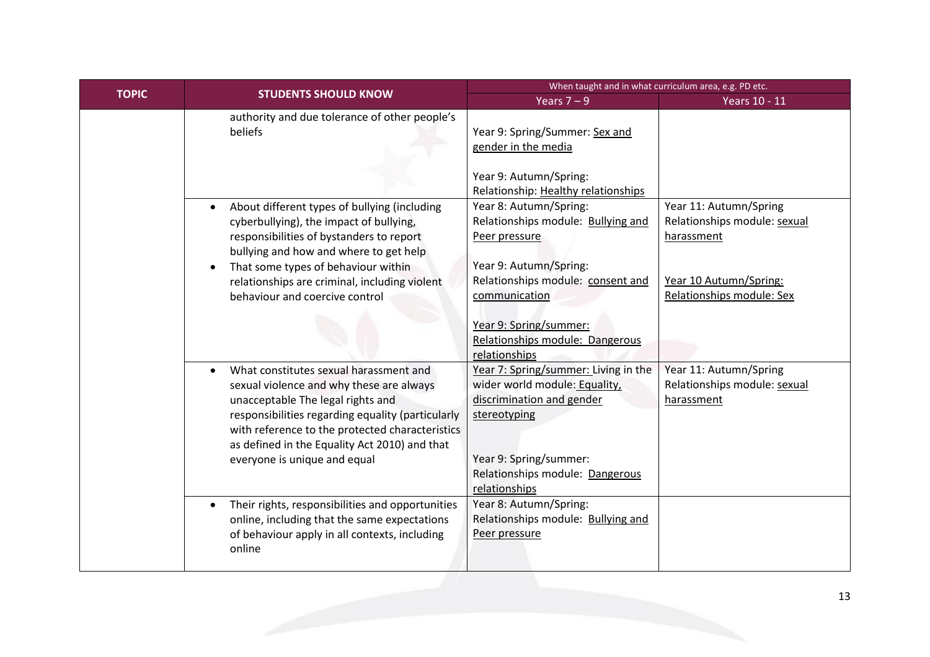|  | <b>TOPIC</b><br><b>STUDENTS SHOULD KNOW</b>                                                                                                                                                                                                                            | When taught and in what curriculum area, e.g. PD etc.                                                                                                    |                                                                      |
|--|------------------------------------------------------------------------------------------------------------------------------------------------------------------------------------------------------------------------------------------------------------------------|----------------------------------------------------------------------------------------------------------------------------------------------------------|----------------------------------------------------------------------|
|  |                                                                                                                                                                                                                                                                        | Years $7 - 9$                                                                                                                                            | <b>Years 10 - 11</b>                                                 |
|  | authority and due tolerance of other people's<br>beliefs                                                                                                                                                                                                               | Year 9: Spring/Summer: Sex and<br>gender in the media                                                                                                    |                                                                      |
|  |                                                                                                                                                                                                                                                                        | Year 9: Autumn/Spring:<br>Relationship: Healthy relationships                                                                                            |                                                                      |
|  | About different types of bullying (including<br>$\bullet$<br>cyberbullying), the impact of bullying,<br>responsibilities of bystanders to report<br>bullying and how and where to get help<br>That some types of behaviour within<br>$\bullet$                         | Year 8: Autumn/Spring:<br>Relationships module: Bullying and<br>Peer pressure<br>Year 9: Autumn/Spring:                                                  | Year 11: Autumn/Spring<br>Relationships module: sexual<br>harassment |
|  | relationships are criminal, including violent<br>behaviour and coercive control                                                                                                                                                                                        | Relationships module: consent and<br>communication<br>Year 9: Spring/summer:<br>Relationships module: Dangerous                                          | Year 10 Autumn/Spring:<br>Relationships module: Sex                  |
|  | What constitutes sexual harassment and<br>$\bullet$                                                                                                                                                                                                                    | relationships<br>Year 7: Spring/summer: Living in the                                                                                                    | Year 11: Autumn/Spring                                               |
|  | sexual violence and why these are always<br>unacceptable The legal rights and<br>responsibilities regarding equality (particularly<br>with reference to the protected characteristics<br>as defined in the Equality Act 2010) and that<br>everyone is unique and equal | wider world module: Equality,<br>discrimination and gender<br>stereotyping<br>Year 9: Spring/summer:<br>Relationships module: Dangerous<br>relationships | Relationships module: sexual<br>harassment                           |
|  | Their rights, responsibilities and opportunities<br>$\bullet$<br>online, including that the same expectations<br>of behaviour apply in all contexts, including<br>online                                                                                               | Year 8: Autumn/Spring:<br>Relationships module: Bullying and<br>Peer pressure                                                                            |                                                                      |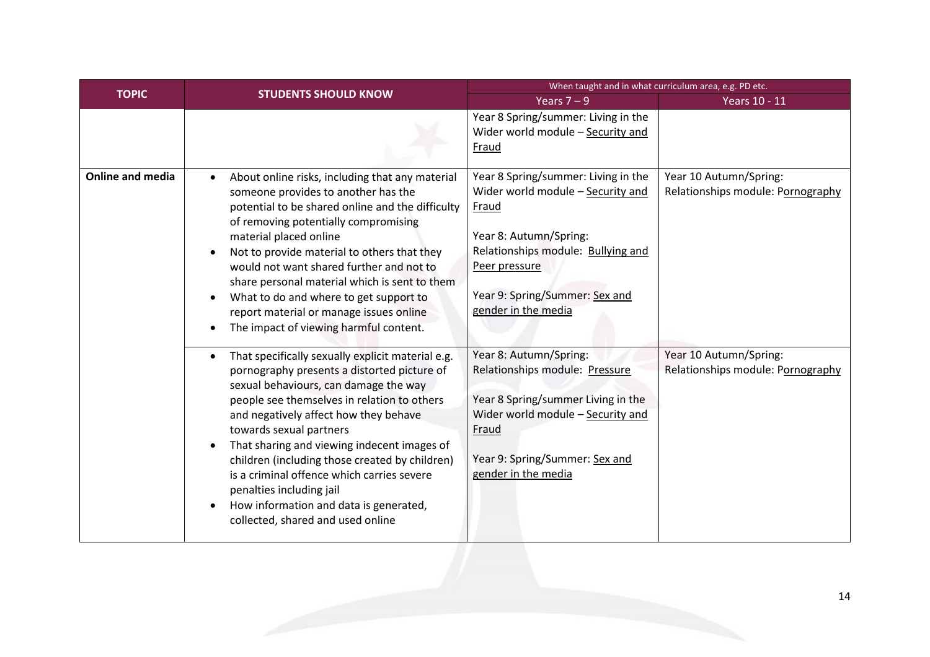|                  | <b>TOPIC</b><br><b>STUDENTS SHOULD KNOW</b>                                                                                                                                                                                                                                                                                                                                                                                                                                                                                                      | When taught and in what curriculum area, e.g. PD etc.                                                                                                                                                                       |                                                             |
|------------------|--------------------------------------------------------------------------------------------------------------------------------------------------------------------------------------------------------------------------------------------------------------------------------------------------------------------------------------------------------------------------------------------------------------------------------------------------------------------------------------------------------------------------------------------------|-----------------------------------------------------------------------------------------------------------------------------------------------------------------------------------------------------------------------------|-------------------------------------------------------------|
|                  |                                                                                                                                                                                                                                                                                                                                                                                                                                                                                                                                                  | Years $7 - 9$                                                                                                                                                                                                               | Years 10 - 11                                               |
|                  |                                                                                                                                                                                                                                                                                                                                                                                                                                                                                                                                                  | Year 8 Spring/summer: Living in the<br>Wider world module - Security and<br>Fraud                                                                                                                                           |                                                             |
| Online and media | About online risks, including that any material<br>$\bullet$<br>someone provides to another has the<br>potential to be shared online and the difficulty<br>of removing potentially compromising<br>material placed online<br>Not to provide material to others that they<br>$\bullet$<br>would not want shared further and not to<br>share personal material which is sent to them<br>What to do and where to get support to<br>$\bullet$<br>report material or manage issues online<br>The impact of viewing harmful content.                   | Year 8 Spring/summer: Living in the<br>Wider world module - Security and<br>Fraud<br>Year 8: Autumn/Spring:<br>Relationships module: Bullying and<br>Peer pressure<br>Year 9: Spring/Summer: Sex and<br>gender in the media | Year 10 Autumn/Spring:<br>Relationships module: Pornography |
|                  | That specifically sexually explicit material e.g.<br>$\bullet$<br>pornography presents a distorted picture of<br>sexual behaviours, can damage the way<br>people see themselves in relation to others<br>and negatively affect how they behave<br>towards sexual partners<br>That sharing and viewing indecent images of<br>$\bullet$<br>children (including those created by children)<br>is a criminal offence which carries severe<br>penalties including jail<br>How information and data is generated,<br>collected, shared and used online | Year 8: Autumn/Spring:<br>Relationships module: Pressure<br>Year 8 Spring/summer Living in the<br>Wider world module - Security and<br>Fraud<br>Year 9: Spring/Summer: Sex and<br>gender in the media                       | Year 10 Autumn/Spring:<br>Relationships module: Pornography |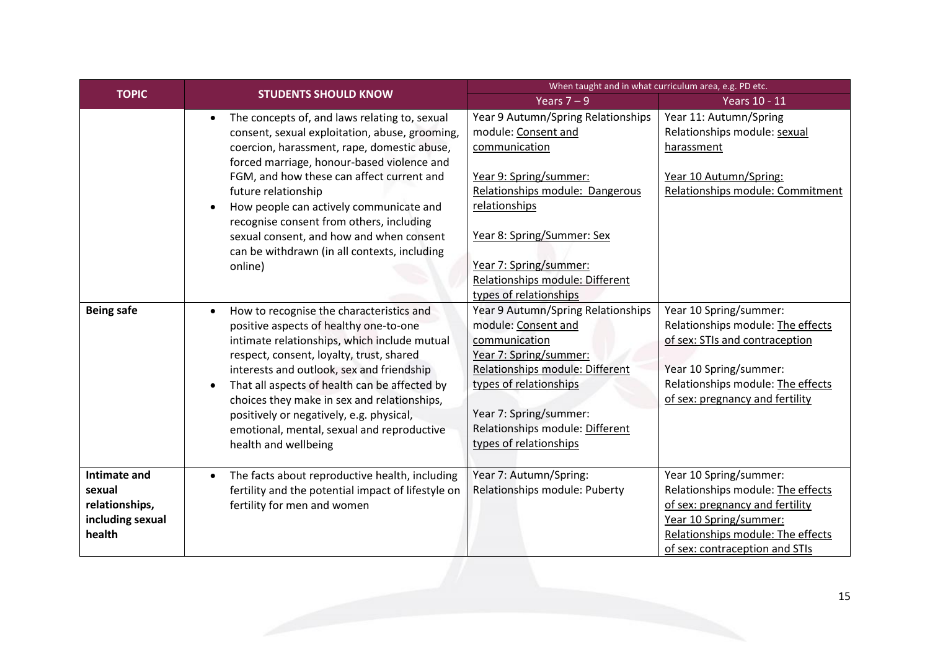| <b>TOPIC</b>                                                                  | <b>STUDENTS SHOULD KNOW</b>                                                                                                                                                                                                                                                                                                                                                                                                                                                 | When taught and in what curriculum area, e.g. PD etc.                                                                                                                                                                                                                         |                                                                                                                                                                                                 |
|-------------------------------------------------------------------------------|-----------------------------------------------------------------------------------------------------------------------------------------------------------------------------------------------------------------------------------------------------------------------------------------------------------------------------------------------------------------------------------------------------------------------------------------------------------------------------|-------------------------------------------------------------------------------------------------------------------------------------------------------------------------------------------------------------------------------------------------------------------------------|-------------------------------------------------------------------------------------------------------------------------------------------------------------------------------------------------|
|                                                                               |                                                                                                                                                                                                                                                                                                                                                                                                                                                                             | Years $7 - 9$                                                                                                                                                                                                                                                                 | <b>Years 10 - 11</b>                                                                                                                                                                            |
|                                                                               | The concepts of, and laws relating to, sexual<br>$\bullet$<br>consent, sexual exploitation, abuse, grooming,<br>coercion, harassment, rape, domestic abuse,<br>forced marriage, honour-based violence and<br>FGM, and how these can affect current and<br>future relationship<br>How people can actively communicate and<br>recognise consent from others, including<br>sexual consent, and how and when consent<br>can be withdrawn (in all contexts, including<br>online) | Year 9 Autumn/Spring Relationships<br>module: Consent and<br>communication<br>Year 9: Spring/summer:<br>Relationships module: Dangerous<br>relationships<br>Year 8: Spring/Summer: Sex<br>Year 7: Spring/summer:<br>Relationships module: Different<br>types of relationships | Year 11: Autumn/Spring<br>Relationships module: sexual<br>harassment<br>Year 10 Autumn/Spring:<br>Relationships module: Commitment                                                              |
| <b>Being safe</b>                                                             | How to recognise the characteristics and<br>$\bullet$<br>positive aspects of healthy one-to-one<br>intimate relationships, which include mutual<br>respect, consent, loyalty, trust, shared<br>interests and outlook, sex and friendship<br>That all aspects of health can be affected by<br>$\bullet$<br>choices they make in sex and relationships,<br>positively or negatively, e.g. physical,<br>emotional, mental, sexual and reproductive<br>health and wellbeing     | Year 9 Autumn/Spring Relationships<br>module: Consent and<br>communication<br>Year 7: Spring/summer:<br>Relationships module: Different<br>types of relationships<br>Year 7: Spring/summer:<br>Relationships module: Different<br>types of relationships                      | Year 10 Spring/summer:<br>Relationships module: The effects<br>of sex: STIs and contraception<br>Year 10 Spring/summer:<br>Relationships module: The effects<br>of sex: pregnancy and fertility |
| <b>Intimate and</b><br>sexual<br>relationships,<br>including sexual<br>health | The facts about reproductive health, including<br>$\bullet$<br>fertility and the potential impact of lifestyle on<br>fertility for men and women                                                                                                                                                                                                                                                                                                                            | Year 7: Autumn/Spring:<br>Relationships module: Puberty                                                                                                                                                                                                                       | Year 10 Spring/summer:<br>Relationships module: The effects<br>of sex: pregnancy and fertility<br>Year 10 Spring/summer:<br>Relationships module: The effects<br>of sex: contraception and STIs |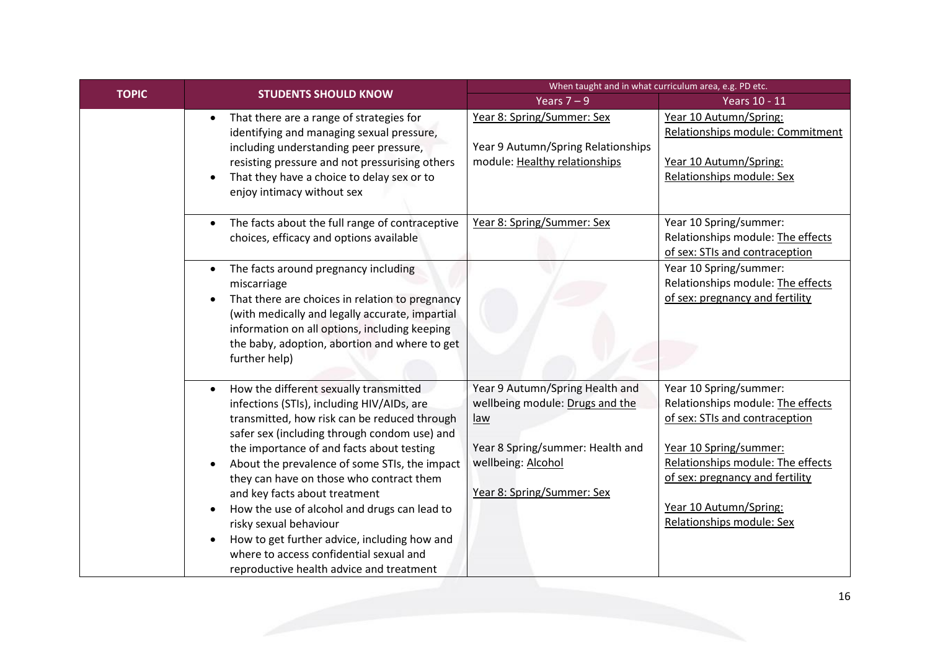|              |                                                                                                                                                                                                                                                                                                                                                                                                                                                                                                                                                                                                                                      | When taught and in what curriculum area, e.g. PD etc.                                                                                                             |                                                                                                                                                                                                                                                        |
|--------------|--------------------------------------------------------------------------------------------------------------------------------------------------------------------------------------------------------------------------------------------------------------------------------------------------------------------------------------------------------------------------------------------------------------------------------------------------------------------------------------------------------------------------------------------------------------------------------------------------------------------------------------|-------------------------------------------------------------------------------------------------------------------------------------------------------------------|--------------------------------------------------------------------------------------------------------------------------------------------------------------------------------------------------------------------------------------------------------|
| <b>TOPIC</b> | <b>STUDENTS SHOULD KNOW</b>                                                                                                                                                                                                                                                                                                                                                                                                                                                                                                                                                                                                          | Years $7 - 9$                                                                                                                                                     | Years 10 - 11                                                                                                                                                                                                                                          |
|              | That there are a range of strategies for<br>$\bullet$<br>identifying and managing sexual pressure,<br>including understanding peer pressure,<br>resisting pressure and not pressurising others<br>That they have a choice to delay sex or to<br>$\bullet$<br>enjoy intimacy without sex                                                                                                                                                                                                                                                                                                                                              | Year 8: Spring/Summer: Sex<br>Year 9 Autumn/Spring Relationships<br>module: Healthy relationships                                                                 | Year 10 Autumn/Spring:<br>Relationships module: Commitment<br>Year 10 Autumn/Spring:<br>Relationships module: Sex                                                                                                                                      |
|              | The facts about the full range of contraceptive<br>$\bullet$<br>choices, efficacy and options available                                                                                                                                                                                                                                                                                                                                                                                                                                                                                                                              | Year 8: Spring/Summer: Sex                                                                                                                                        | Year 10 Spring/summer:<br>Relationships module: The effects<br>of sex: STIs and contraception                                                                                                                                                          |
|              | The facts around pregnancy including<br>$\bullet$<br>miscarriage<br>That there are choices in relation to pregnancy<br>$\bullet$<br>(with medically and legally accurate, impartial<br>information on all options, including keeping<br>the baby, adoption, abortion and where to get<br>further help)                                                                                                                                                                                                                                                                                                                               |                                                                                                                                                                   | Year 10 Spring/summer:<br>Relationships module: The effects<br>of sex: pregnancy and fertility                                                                                                                                                         |
|              | How the different sexually transmitted<br>$\bullet$<br>infections (STIs), including HIV/AIDs, are<br>transmitted, how risk can be reduced through<br>safer sex (including through condom use) and<br>the importance of and facts about testing<br>About the prevalence of some STIs, the impact<br>$\bullet$<br>they can have on those who contract them<br>and key facts about treatment<br>How the use of alcohol and drugs can lead to<br>$\bullet$<br>risky sexual behaviour<br>How to get further advice, including how and<br>$\bullet$<br>where to access confidential sexual and<br>reproductive health advice and treatment | Year 9 Autumn/Spring Health and<br>wellbeing module: Drugs and the<br>law<br>Year 8 Spring/summer: Health and<br>wellbeing: Alcohol<br>Year 8: Spring/Summer: Sex | Year 10 Spring/summer:<br>Relationships module: The effects<br>of sex: STIs and contraception<br>Year 10 Spring/summer:<br>Relationships module: The effects<br>of sex: pregnancy and fertility<br>Year 10 Autumn/Spring:<br>Relationships module: Sex |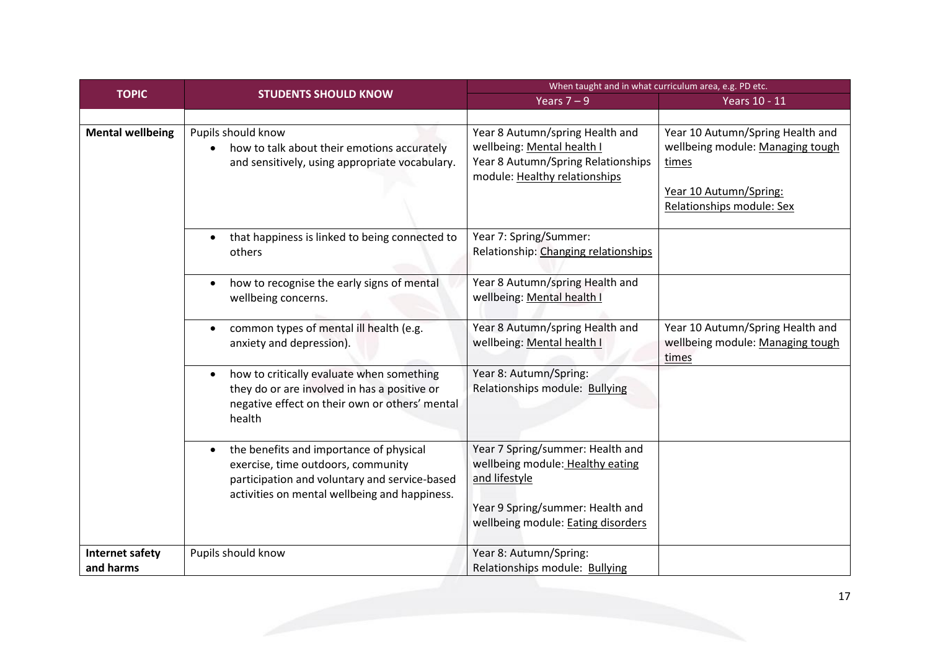|                                     |                                                                                                                                                                                              | When taught and in what curriculum area, e.g. PD etc.                                                                                                           |                                                                                                                                      |
|-------------------------------------|----------------------------------------------------------------------------------------------------------------------------------------------------------------------------------------------|-----------------------------------------------------------------------------------------------------------------------------------------------------------------|--------------------------------------------------------------------------------------------------------------------------------------|
| <b>TOPIC</b>                        | <b>STUDENTS SHOULD KNOW</b>                                                                                                                                                                  | Years $7 - 9$                                                                                                                                                   | <b>Years 10 - 11</b>                                                                                                                 |
|                                     |                                                                                                                                                                                              |                                                                                                                                                                 |                                                                                                                                      |
| <b>Mental wellbeing</b>             | Pupils should know<br>how to talk about their emotions accurately<br>and sensitively, using appropriate vocabulary.                                                                          | Year 8 Autumn/spring Health and<br>wellbeing: Mental health I<br>Year 8 Autumn/Spring Relationships<br>module: Healthy relationships                            | Year 10 Autumn/Spring Health and<br>wellbeing module: Managing tough<br>times<br>Year 10 Autumn/Spring:<br>Relationships module: Sex |
|                                     | that happiness is linked to being connected to<br>$\bullet$<br>others                                                                                                                        | Year 7: Spring/Summer:<br>Relationship: Changing relationships                                                                                                  |                                                                                                                                      |
|                                     | how to recognise the early signs of mental<br>$\bullet$<br>wellbeing concerns.                                                                                                               | Year 8 Autumn/spring Health and<br>wellbeing: Mental health I                                                                                                   |                                                                                                                                      |
|                                     | common types of mental ill health (e.g.<br>$\bullet$<br>anxiety and depression).                                                                                                             | Year 8 Autumn/spring Health and<br>wellbeing: Mental health I                                                                                                   | Year 10 Autumn/Spring Health and<br>wellbeing module: Managing tough<br>times                                                        |
|                                     | how to critically evaluate when something<br>$\bullet$<br>they do or are involved in has a positive or<br>negative effect on their own or others' mental<br>health                           | Year 8: Autumn/Spring:<br>Relationships module: Bullying                                                                                                        |                                                                                                                                      |
|                                     | the benefits and importance of physical<br>$\bullet$<br>exercise, time outdoors, community<br>participation and voluntary and service-based<br>activities on mental wellbeing and happiness. | Year 7 Spring/summer: Health and<br>wellbeing module: Healthy eating<br>and lifestyle<br>Year 9 Spring/summer: Health and<br>wellbeing module: Eating disorders |                                                                                                                                      |
| <b>Internet safety</b><br>and harms | Pupils should know                                                                                                                                                                           | Year 8: Autumn/Spring:<br>Relationships module: Bullying                                                                                                        |                                                                                                                                      |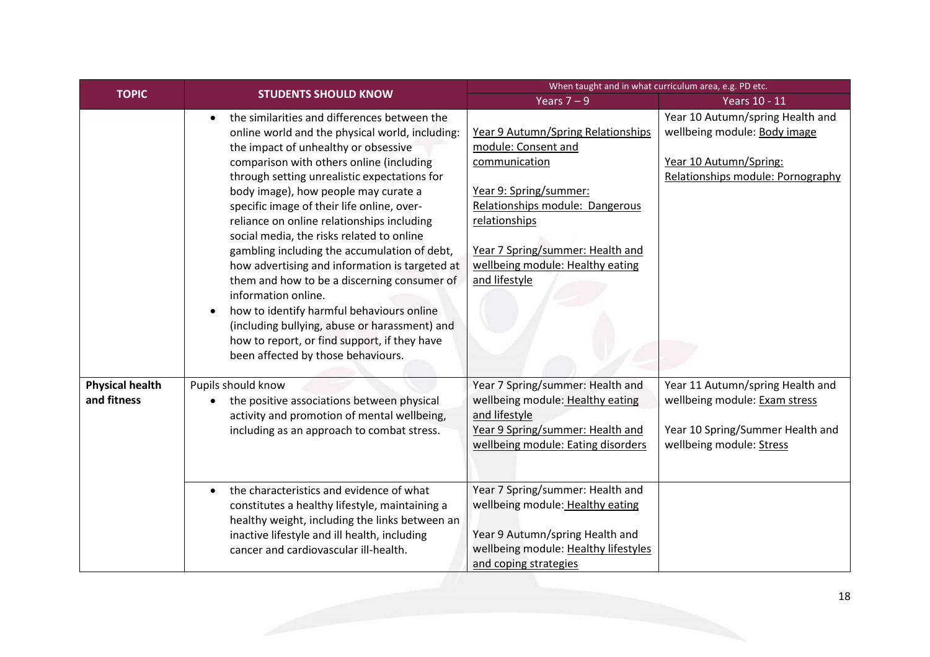| <b>TOPIC</b>                          | <b>STUDENTS SHOULD KNOW</b>                                                                                                                                                                                                                                                                                                                                                                                                                                                                                                                                                                                                                                                                                                                                                                                | When taught and in what curriculum area, e.g. PD etc.                                                                                                                                                                                                                                                                                       |                                                                                                                                   |
|---------------------------------------|------------------------------------------------------------------------------------------------------------------------------------------------------------------------------------------------------------------------------------------------------------------------------------------------------------------------------------------------------------------------------------------------------------------------------------------------------------------------------------------------------------------------------------------------------------------------------------------------------------------------------------------------------------------------------------------------------------------------------------------------------------------------------------------------------------|---------------------------------------------------------------------------------------------------------------------------------------------------------------------------------------------------------------------------------------------------------------------------------------------------------------------------------------------|-----------------------------------------------------------------------------------------------------------------------------------|
|                                       |                                                                                                                                                                                                                                                                                                                                                                                                                                                                                                                                                                                                                                                                                                                                                                                                            | Years $7 - 9$                                                                                                                                                                                                                                                                                                                               | <b>Years 10 - 11</b>                                                                                                              |
|                                       | the similarities and differences between the<br>$\bullet$<br>online world and the physical world, including:<br>the impact of unhealthy or obsessive<br>comparison with others online (including<br>through setting unrealistic expectations for<br>body image), how people may curate a<br>specific image of their life online, over-<br>reliance on online relationships including<br>social media, the risks related to online<br>gambling including the accumulation of debt,<br>how advertising and information is targeted at<br>them and how to be a discerning consumer of<br>information online.<br>how to identify harmful behaviours online<br>$\bullet$<br>(including bullying, abuse or harassment) and<br>how to report, or find support, if they have<br>been affected by those behaviours. | Year 9 Autumn/Spring Relationships<br>module: Consent and<br>communication<br>Year 9: Spring/summer:<br>Relationships module: Dangerous<br>relationships<br>Year 7 Spring/summer: Health and<br>wellbeing module: Healthy eating<br>and lifestyle                                                                                           | Year 10 Autumn/spring Health and<br>wellbeing module: Body image<br>Year 10 Autumn/Spring:<br>Relationships module: Pornography   |
| <b>Physical health</b><br>and fitness | Pupils should know<br>the positive associations between physical<br>$\bullet$<br>activity and promotion of mental wellbeing,<br>including as an approach to combat stress.<br>the characteristics and evidence of what<br>$\bullet$<br>constitutes a healthy lifestyle, maintaining a<br>healthy weight, including the links between an<br>inactive lifestyle and ill health, including<br>cancer and cardiovascular ill-health.                                                                                                                                                                                                                                                                                                                                                                           | Year 7 Spring/summer: Health and<br>wellbeing module: Healthy eating<br>and lifestyle<br>Year 9 Spring/summer: Health and<br>wellbeing module: Eating disorders<br>Year 7 Spring/summer: Health and<br>wellbeing module: Healthy eating<br>Year 9 Autumn/spring Health and<br>wellbeing module: Healthy lifestyles<br>and coping strategies | Year 11 Autumn/spring Health and<br>wellbeing module: Exam stress<br>Year 10 Spring/Summer Health and<br>wellbeing module: Stress |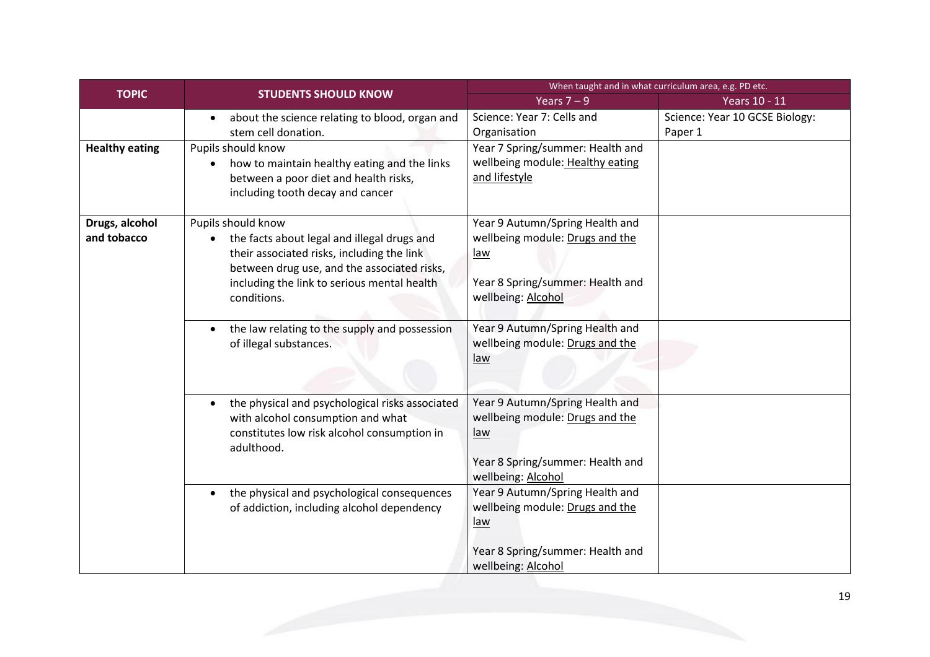| <b>TOPIC</b>          | <b>STUDENTS SHOULD KNOW</b>                                                               | When taught and in what curriculum area, e.g. PD etc. |                                |
|-----------------------|-------------------------------------------------------------------------------------------|-------------------------------------------------------|--------------------------------|
|                       |                                                                                           | Years $7 - 9$                                         | Years 10 - 11                  |
|                       | about the science relating to blood, organ and<br>$\bullet$                               | Science: Year 7: Cells and                            | Science: Year 10 GCSE Biology: |
|                       | stem cell donation.                                                                       | Organisation                                          | Paper 1                        |
| <b>Healthy eating</b> | Pupils should know                                                                        | Year 7 Spring/summer: Health and                      |                                |
|                       | how to maintain healthy eating and the links                                              | wellbeing module: Healthy eating                      |                                |
|                       | between a poor diet and health risks,                                                     | and lifestyle                                         |                                |
|                       | including tooth decay and cancer                                                          |                                                       |                                |
| Drugs, alcohol        | Pupils should know                                                                        | Year 9 Autumn/Spring Health and                       |                                |
| and tobacco           | the facts about legal and illegal drugs and                                               | wellbeing module: Drugs and the                       |                                |
|                       | their associated risks, including the link<br>between drug use, and the associated risks, | law                                                   |                                |
|                       | including the link to serious mental health                                               | Year 8 Spring/summer: Health and                      |                                |
|                       | conditions.                                                                               | wellbeing: Alcohol                                    |                                |
|                       |                                                                                           |                                                       |                                |
|                       | the law relating to the supply and possession<br>$\bullet$                                | Year 9 Autumn/Spring Health and                       |                                |
|                       | of illegal substances.                                                                    | wellbeing module: Drugs and the                       |                                |
|                       |                                                                                           | law                                                   |                                |
|                       |                                                                                           |                                                       |                                |
|                       | the physical and psychological risks associated                                           | Year 9 Autumn/Spring Health and                       |                                |
|                       | with alcohol consumption and what                                                         | wellbeing module: Drugs and the                       |                                |
|                       | constitutes low risk alcohol consumption in<br>adulthood.                                 | <u>law</u>                                            |                                |
|                       |                                                                                           | Year 8 Spring/summer: Health and                      |                                |
|                       |                                                                                           | wellbeing: Alcohol                                    |                                |
|                       | the physical and psychological consequences<br>$\bullet$                                  | Year 9 Autumn/Spring Health and                       |                                |
|                       | of addiction, including alcohol dependency                                                | wellbeing module: Drugs and the                       |                                |
|                       |                                                                                           | <u>law</u>                                            |                                |
|                       |                                                                                           | Year 8 Spring/summer: Health and                      |                                |
|                       |                                                                                           | wellbeing: Alcohol                                    |                                |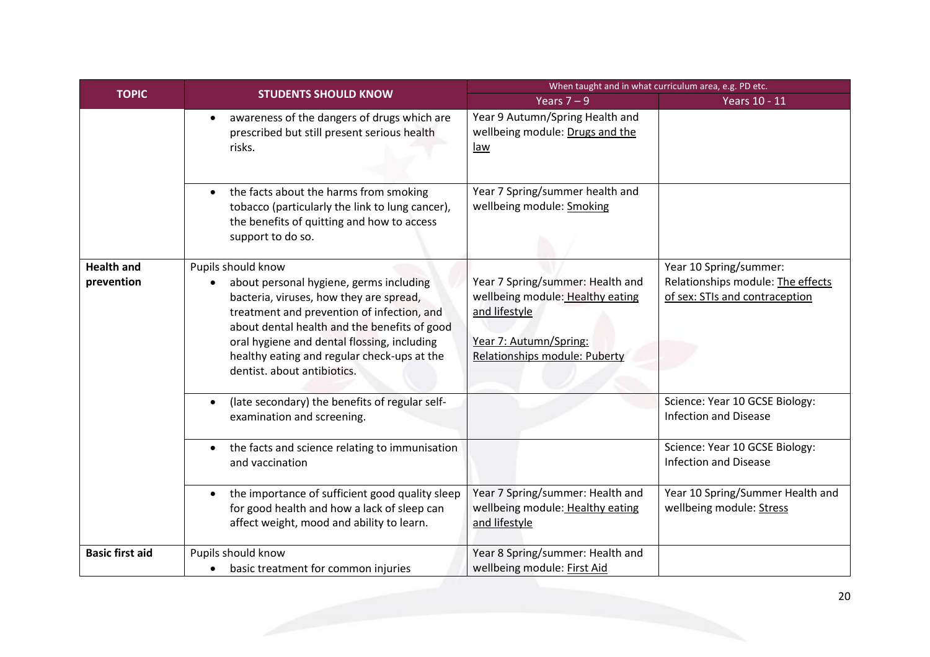| <b>TOPIC</b>                    | <b>STUDENTS SHOULD KNOW</b>                                                                                                                                                                                                                                                                                                         | When taught and in what curriculum area, e.g. PD etc.                                                                                            |                                                                                               |
|---------------------------------|-------------------------------------------------------------------------------------------------------------------------------------------------------------------------------------------------------------------------------------------------------------------------------------------------------------------------------------|--------------------------------------------------------------------------------------------------------------------------------------------------|-----------------------------------------------------------------------------------------------|
|                                 |                                                                                                                                                                                                                                                                                                                                     | Years $7 - 9$                                                                                                                                    | Years 10 - 11                                                                                 |
|                                 | awareness of the dangers of drugs which are<br>$\bullet$<br>prescribed but still present serious health<br>risks.                                                                                                                                                                                                                   | Year 9 Autumn/Spring Health and<br>wellbeing module: Drugs and the<br><u>law</u>                                                                 |                                                                                               |
|                                 | the facts about the harms from smoking<br>$\bullet$<br>tobacco (particularly the link to lung cancer),<br>the benefits of quitting and how to access<br>support to do so.                                                                                                                                                           | Year 7 Spring/summer health and<br>wellbeing module: Smoking                                                                                     |                                                                                               |
| <b>Health and</b><br>prevention | Pupils should know<br>about personal hygiene, germs including<br>bacteria, viruses, how they are spread,<br>treatment and prevention of infection, and<br>about dental health and the benefits of good<br>oral hygiene and dental flossing, including<br>healthy eating and regular check-ups at the<br>dentist, about antibiotics. | Year 7 Spring/summer: Health and<br>wellbeing module: Healthy eating<br>and lifestyle<br>Year 7: Autumn/Spring:<br>Relationships module: Puberty | Year 10 Spring/summer:<br>Relationships module: The effects<br>of sex: STIs and contraception |
|                                 | (late secondary) the benefits of regular self-<br>$\bullet$<br>examination and screening.                                                                                                                                                                                                                                           |                                                                                                                                                  | Science: Year 10 GCSE Biology:<br><b>Infection and Disease</b>                                |
|                                 | the facts and science relating to immunisation<br>$\bullet$<br>and vaccination                                                                                                                                                                                                                                                      |                                                                                                                                                  | Science: Year 10 GCSE Biology:<br><b>Infection and Disease</b>                                |
|                                 | the importance of sufficient good quality sleep<br>$\bullet$<br>for good health and how a lack of sleep can<br>affect weight, mood and ability to learn.                                                                                                                                                                            | Year 7 Spring/summer: Health and<br>wellbeing module: Healthy eating<br>and lifestyle                                                            | Year 10 Spring/Summer Health and<br>wellbeing module: Stress                                  |
| <b>Basic first aid</b>          | Pupils should know<br>basic treatment for common injuries<br>$\bullet$                                                                                                                                                                                                                                                              | Year 8 Spring/summer: Health and<br>wellbeing module: First Aid                                                                                  |                                                                                               |